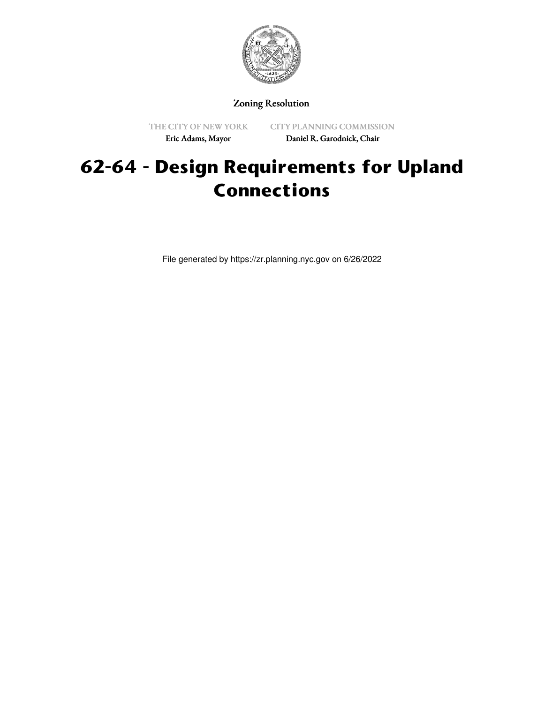

# Zoning Resolution

THE CITY OF NEW YORK Eric Adams, Mayor

CITY PLANNING COMMISSION Daniel R. Garodnick, Chair

# **62-64 - Design Requirements for Upland Connections**

File generated by https://zr.planning.nyc.gov on 6/26/2022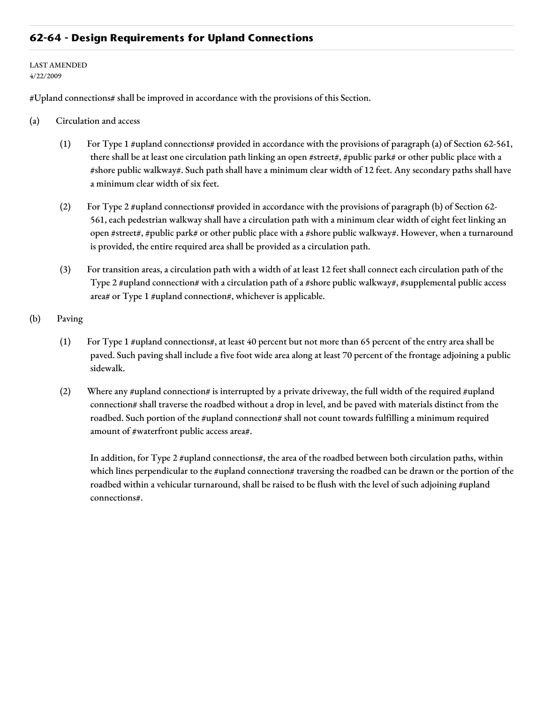## **62-64 - Design Requirements for Upland Connections**

#### LAST AMENDED 4/22/2009

#Upland connections# shall be improved in accordance with the provisions of this Section.

- (a) Circulation and access
	- (1) For Type 1 #upland connections# provided in accordance with the provisions of paragraph (a) of Section 62-561, there shall be at least one circulation path linking an open #street#, #public park# or other public place with a #shore public walkway#. Such path shall have a minimum clear width of 12 feet. Any secondary paths shall have a minimum clear width of six feet.
	- (2) For Type 2 #upland connections# provided in accordance with the provisions of paragraph (b) of Section 62- 561, each pedestrian walkway shall have a circulation path with a minimum clear width of eight feet linking an open #street#, #public park# or other public place with a #shore public walkway#. However, when a turnaround is provided, the entire required area shall be provided as a circulation path.
	- (3) For transition areas, a circulation path with a width of at least 12 feet shall connect each circulation path of the Type 2 #upland connection# with a circulation path of a #shore public walkway#, #supplemental public access area# or Type 1 #upland connection#, whichever is applicable.
- (b) Paving
	- (1) For Type 1 #upland connections#, at least 40 percent but not more than 65 percent of the entry area shall be paved. Such paving shall include a five foot wide area along at least 70 percent of the frontage adjoining a public sidewalk.
	- (2) Where any #upland connection# is interrupted by a private driveway, the full width of the required #upland connection# shall traverse the roadbed without a drop in level, and be paved with materials distinct from the roadbed. Such portion of the #upland connection# shall not count towards fulfilling a minimum required amount of #waterfront public access area#.

In addition, for Type 2 #upland connections#, the area of the roadbed between both circulation paths, within which lines perpendicular to the #upland connection# traversing the roadbed can be drawn or the portion of the roadbed within a vehicular turnaround, shall be raised to be flush with the level of such adjoining #upland connections#.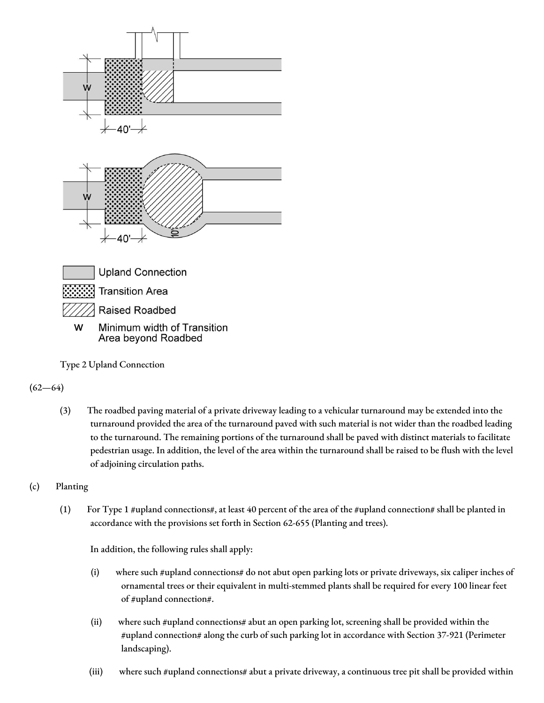

Type 2 Upland Connection

### $(62 - 64)$

(3) The roadbed paving material of a private driveway leading to a vehicular turnaround may be extended into the turnaround provided the area of the turnaround paved with such material is not wider than the roadbed leading to the turnaround. The remaining portions of the turnaround shall be paved with distinct materials to facilitate pedestrian usage. In addition, the level of the area within the turnaround shall be raised to be flush with the level of adjoining circulation paths.

# (c) Planting

(1) For Type 1 #upland connections#, at least 40 percent of the area of the #upland connection# shall be planted in accordance with the provisions set forth in Section 62-655 (Planting and trees).

In addition, the following rules shall apply:

- (i) where such #upland connections# do not abut open parking lots or private driveways, six caliper inches of ornamental trees or their equivalent in multi-stemmed plants shall be required for every 100 linear feet of #upland connection#.
- (ii) where such #upland connections# abut an open parking lot, screening shall be provided within the #upland connection# along the curb of such parking lot in accordance with Section 37-921 (Perimeter landscaping).
- (iii) where such #upland connections# abut a private driveway, a continuous tree pit shall be provided within